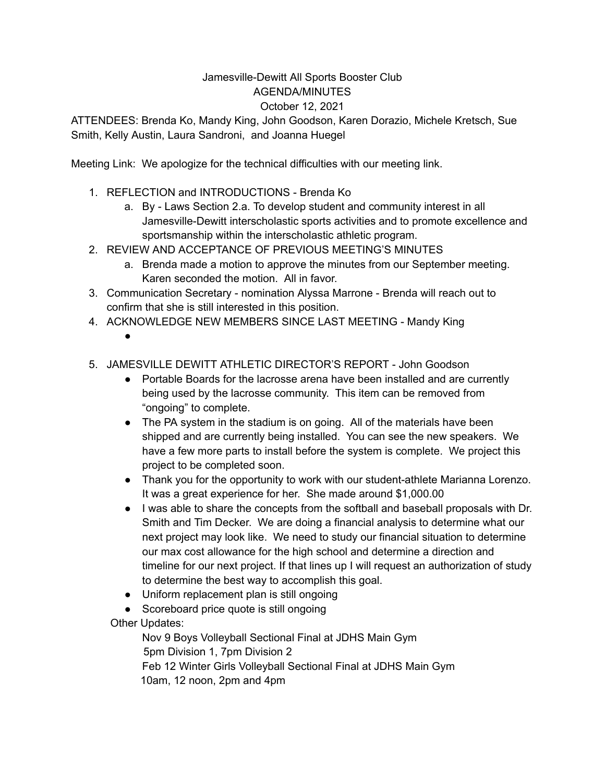## Jamesville-Dewitt All Sports Booster Club AGENDA/MINUTES October 12, 2021

ATTENDEES: Brenda Ko, Mandy King, John Goodson, Karen Dorazio, Michele Kretsch, Sue Smith, Kelly Austin, Laura Sandroni, and Joanna Huegel

Meeting Link: We apologize for the technical difficulties with our meeting link.

- 1. REFLECTION and INTRODUCTIONS Brenda Ko
	- a. By Laws Section 2.a. To develop student and community interest in all Jamesville-Dewitt interscholastic sports activities and to promote excellence and sportsmanship within the interscholastic athletic program.
- 2. REVIEW AND ACCEPTANCE OF PREVIOUS MEETING'S MINUTES
	- a. Brenda made a motion to approve the minutes from our September meeting. Karen seconded the motion. All in favor.
- 3. Communication Secretary nomination Alyssa Marrone Brenda will reach out to confirm that she is still interested in this position.
- 4. ACKNOWLEDGE NEW MEMBERS SINCE LAST MEETING Mandy King
	- ●
- 5. JAMESVILLE DEWITT ATHLETIC DIRECTOR'S REPORT John Goodson
	- Portable Boards for the lacrosse arena have been installed and are currently being used by the lacrosse community. This item can be removed from "ongoing" to complete.
	- The PA system in the stadium is on going. All of the materials have been shipped and are currently being installed. You can see the new speakers. We have a few more parts to install before the system is complete. We project this project to be completed soon.
	- Thank you for the opportunity to work with our student-athlete Marianna Lorenzo. It was a great experience for her. She made around \$1,000.00
	- I was able to share the concepts from the softball and baseball proposals with Dr. Smith and Tim Decker. We are doing a financial analysis to determine what our next project may look like. We need to study our financial situation to determine our max cost allowance for the high school and determine a direction and timeline for our next project. If that lines up I will request an authorization of study to determine the best way to accomplish this goal.
	- Uniform replacement plan is still ongoing
	- Scoreboard price quote is still ongoing

Other Updates:

Nov 9 Boys Volleyball Sectional Final at JDHS Main Gym 5pm Division 1, 7pm Division 2 Feb 12 Winter Girls Volleyball Sectional Final at JDHS Main Gym 10am, 12 noon, 2pm and 4pm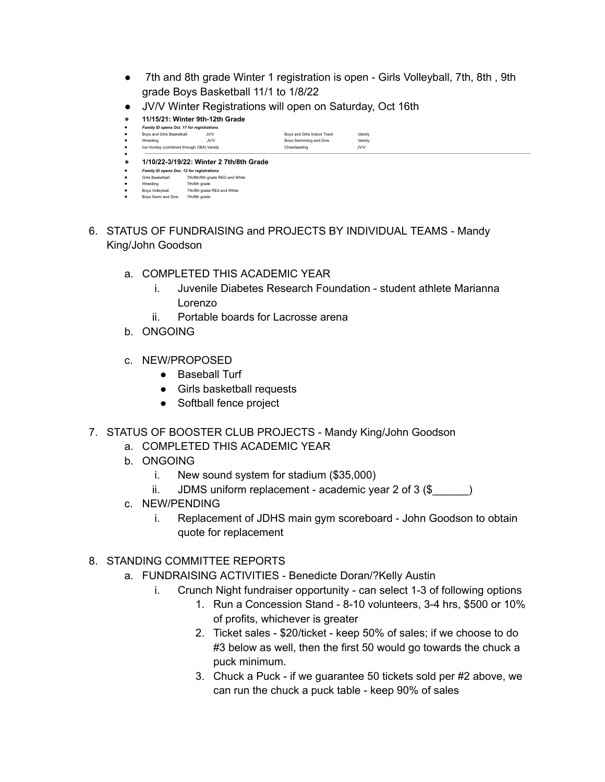- 7th and 8th grade Winter 1 registration is open Girls Volleyball, 7th, 8th, 9th grade Boys Basketball 11/1 to 1/8/22
- JV/V Winter Registrations will open on Saturday, Oct 16th
- **11/15/21: Winter 9th-12th Grade**



- 6. STATUS OF FUNDRAISING and PROJECTS BY INDIVIDUAL TEAMS Mandy King/John Goodson
	- a. COMPLETED THIS ACADEMIC YEAR
		- i. Juvenile Diabetes Research Foundation student athlete Marianna Lorenzo
		- ii. Portable boards for Lacrosse arena
	- b. ONGOING
	- c. NEW/PROPOSED
		- Baseball Turf
		- Girls basketball requests
		- Softball fence project
- 7. STATUS OF BOOSTER CLUB PROJECTS Mandy King/John Goodson
	- a. COMPLETED THIS ACADEMIC YEAR
	- b. ONGOING
		- i. New sound system for stadium (\$35,000)
		- ii. JDMS uniform replacement academic year 2 of  $3$  (\$)
	- c. NEW/PENDING
		- i. Replacement of JDHS main gym scoreboard John Goodson to obtain quote for replacement
- 8. STANDING COMMITTEE REPORTS
	- a. FUNDRAISING ACTIVITIES Benedicte Doran/?Kelly Austin
		- i. Crunch Night fundraiser opportunity can select 1-3 of following options
			- 1. Run a Concession Stand 8-10 volunteers, 3-4 hrs, \$500 or 10% of profits, whichever is greater
			- 2. Ticket sales \$20/ticket keep 50% of sales; if we choose to do #3 below as well, then the first 50 would go towards the chuck a puck minimum.
			- 3. Chuck a Puck if we guarantee 50 tickets sold per #2 above, we can run the chuck a puck table - keep 90% of sales